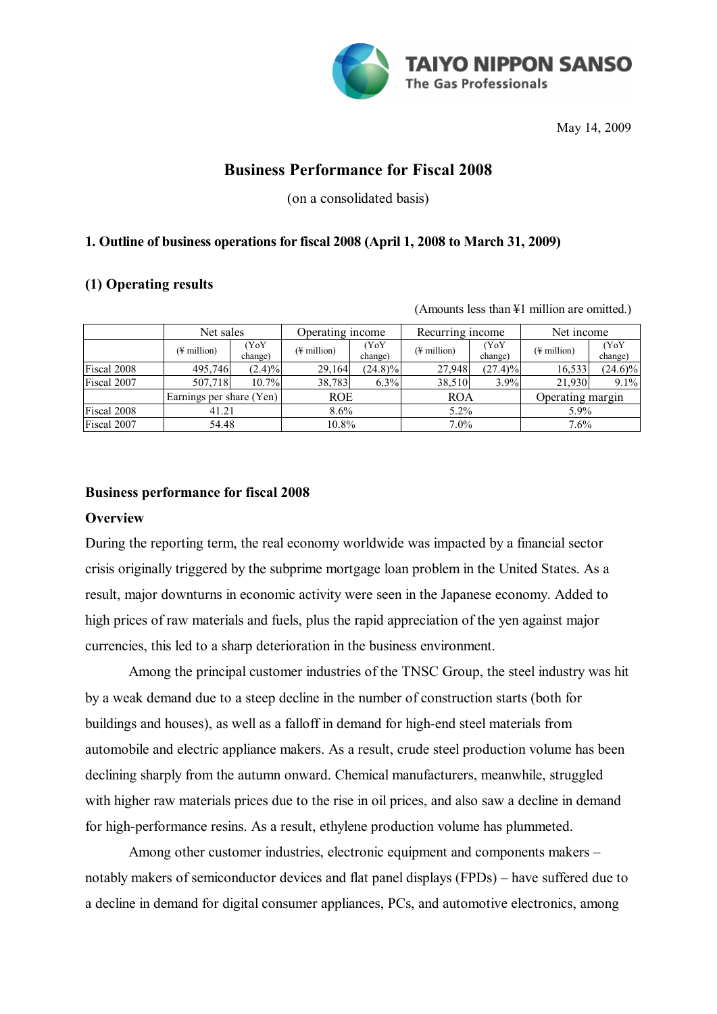

May 14, 2009

# **Business Performance for Fiscal 2008**

(on a consolidated basis)

### **1. Outline of business operations for fiscal 2008 (April 1, 2008 to March 31, 2009)**

### **(1) Operating results**

(Amounts less than ¥1 million are omitted.)

|             | Net sales                |                 | Operating income        |                 | Recurring income        |                 | Net income               |                 |
|-------------|--------------------------|-----------------|-------------------------|-----------------|-------------------------|-----------------|--------------------------|-----------------|
|             | $(\frac{1}{2}$ million)  | (YoY<br>change) | $(\frac{1}{2})$ million | (YoY<br>change) | $(\frac{1}{2}$ million) | (YoY<br>change) | $(\frac{1}{2})$ million) | (YoY<br>change) |
| Fiscal 2008 | 495,746                  | $(2.4)\%$       | 29,164                  | $(24.8)\%$      | 27,948                  | (27.4)%         | 16,533                   | $(24.6)\%$      |
| Fiscal 2007 | 507,718                  | 10.7%           | 38,783                  | 6.3%            | 38,510                  | 3.9%            | 21,930                   | 9.1%            |
|             | Earnings per share (Yen) |                 | <b>ROE</b>              |                 | <b>ROA</b>              |                 | Operating margin         |                 |
| Fiscal 2008 | 41.21                    |                 | $8.6\%$                 |                 | $5.2\%$                 |                 | $5.9\%$                  |                 |
| Fiscal 2007 | 54.48                    |                 | 10.8%                   |                 | $7.0\%$                 |                 | 7.6%                     |                 |

### **Business performance for fiscal 2008**

### **Overview**

During the reporting term, the real economy worldwide was impacted by a financial sector crisis originally triggered by the subprime mortgage loan problem in the United States. As a result, major downturns in economic activity were seen in the Japanese economy. Added to high prices of raw materials and fuels, plus the rapid appreciation of the yen against major currencies, this led to a sharp deterioration in the business environment.

Among the principal customer industries of the TNSC Group, the steel industry was hit by a weak demand due to a steep decline in the number of construction starts (both for buildings and houses), as well as a falloff in demand for high-end steel materials from automobile and electric appliance makers. As a result, crude steel production volume has been declining sharply from the autumn onward. Chemical manufacturers, meanwhile, struggled with higher raw materials prices due to the rise in oil prices, and also saw a decline in demand for high-performance resins. As a result, ethylene production volume has plummeted.

Among other customer industries, electronic equipment and components makers – notably makers of semiconductor devices and flat panel displays (FPDs) – have suffered due to a decline in demand for digital consumer appliances, PCs, and automotive electronics, among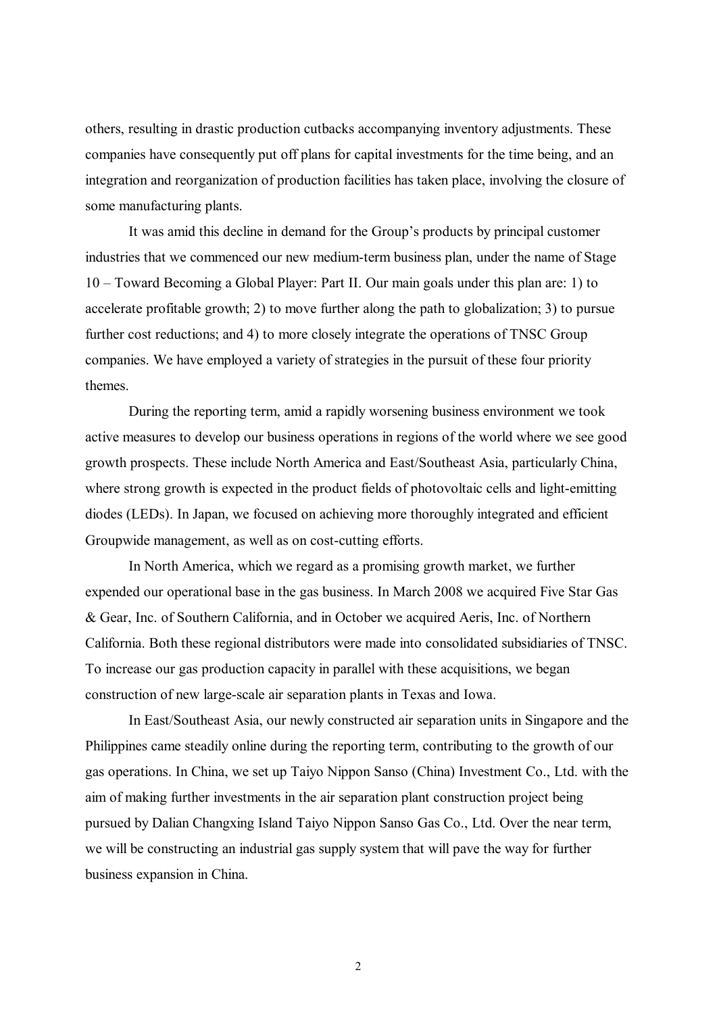others, resulting in drastic production cutbacks accompanying inventory adjustments. These companies have consequently put off plans for capital investments for the time being, and an integration and reorganization of production facilities has taken place, involving the closure of some manufacturing plants.

It was amid this decline in demand for the Group's products by principal customer industries that we commenced our new medium-term business plan, under the name of Stage 10 – Toward Becoming a Global Player: Part II. Our main goals under this plan are: 1) to accelerate profitable growth; 2) to move further along the path to globalization; 3) to pursue further cost reductions; and 4) to more closely integrate the operations of TNSC Group companies. We have employed a variety of strategies in the pursuit of these four priority themes.

During the reporting term, amid a rapidly worsening business environment we took active measures to develop our business operations in regions of the world where we see good growth prospects. These include North America and East/Southeast Asia, particularly China, where strong growth is expected in the product fields of photovoltaic cells and light-emitting diodes (LEDs). In Japan, we focused on achieving more thoroughly integrated and efficient Groupwide management, as well as on cost-cutting efforts.

In North America, which we regard as a promising growth market, we further expended our operational base in the gas business. In March 2008 we acquired Five Star Gas & Gear, Inc. of Southern California, and in October we acquired Aeris, Inc. of Northern California. Both these regional distributors were made into consolidated subsidiaries of TNSC. To increase our gas production capacity in parallel with these acquisitions, we began construction of new large-scale air separation plants in Texas and Iowa.

In East/Southeast Asia, our newly constructed air separation units in Singapore and the Philippines came steadily online during the reporting term, contributing to the growth of our gas operations. In China, we set up Taiyo Nippon Sanso (China) Investment Co., Ltd. with the aim of making further investments in the air separation plant construction project being pursued by Dalian Changxing Island Taiyo Nippon Sanso Gas Co., Ltd. Over the near term, we will be constructing an industrial gas supply system that will pave the way for further business expansion in China.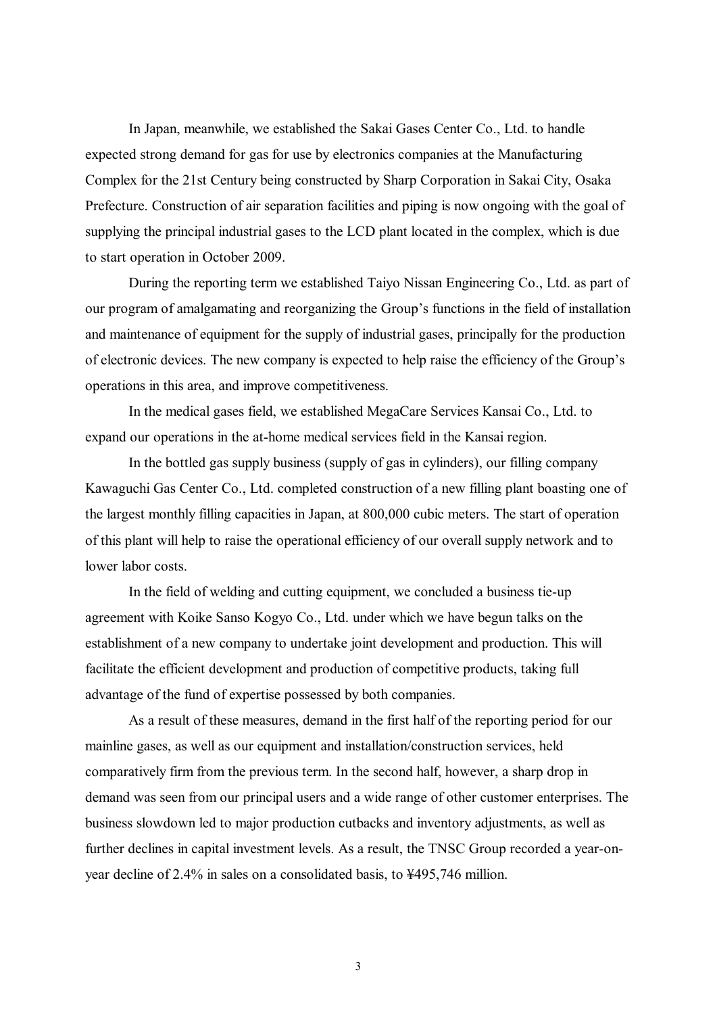In Japan, meanwhile, we established the Sakai Gases Center Co., Ltd. to handle expected strong demand for gas for use by electronics companies at the Manufacturing Complex for the 21st Century being constructed by Sharp Corporation in Sakai City, Osaka Prefecture. Construction of air separation facilities and piping is now ongoing with the goal of supplying the principal industrial gases to the LCD plant located in the complex, which is due to start operation in October 2009.

During the reporting term we established Taiyo Nissan Engineering Co., Ltd. as part of our program of amalgamating and reorganizing the Group's functions in the field of installation and maintenance of equipment for the supply of industrial gases, principally for the production of electronic devices. The new company is expected to help raise the efficiency of the Group's operations in this area, and improve competitiveness.

In the medical gases field, we established MegaCare Services Kansai Co., Ltd. to expand our operations in the at-home medical services field in the Kansai region.

In the bottled gas supply business (supply of gas in cylinders), our filling company Kawaguchi Gas Center Co., Ltd. completed construction of a new filling plant boasting one of the largest monthly filling capacities in Japan, at 800,000 cubic meters. The start of operation of this plant will help to raise the operational efficiency of our overall supply network and to lower labor costs.

In the field of welding and cutting equipment, we concluded a business tie-up agreement with Koike Sanso Kogyo Co., Ltd. under which we have begun talks on the establishment of a new company to undertake joint development and production. This will facilitate the efficient development and production of competitive products, taking full advantage of the fund of expertise possessed by both companies.

As a result of these measures, demand in the first half of the reporting period for our mainline gases, as well as our equipment and installation/construction services, held comparatively firm from the previous term. In the second half, however, a sharp drop in demand was seen from our principal users and a wide range of other customer enterprises. The business slowdown led to major production cutbacks and inventory adjustments, as well as further declines in capital investment levels. As a result, the TNSC Group recorded a year-onyear decline of 2.4% in sales on a consolidated basis, to ¥495,746 million.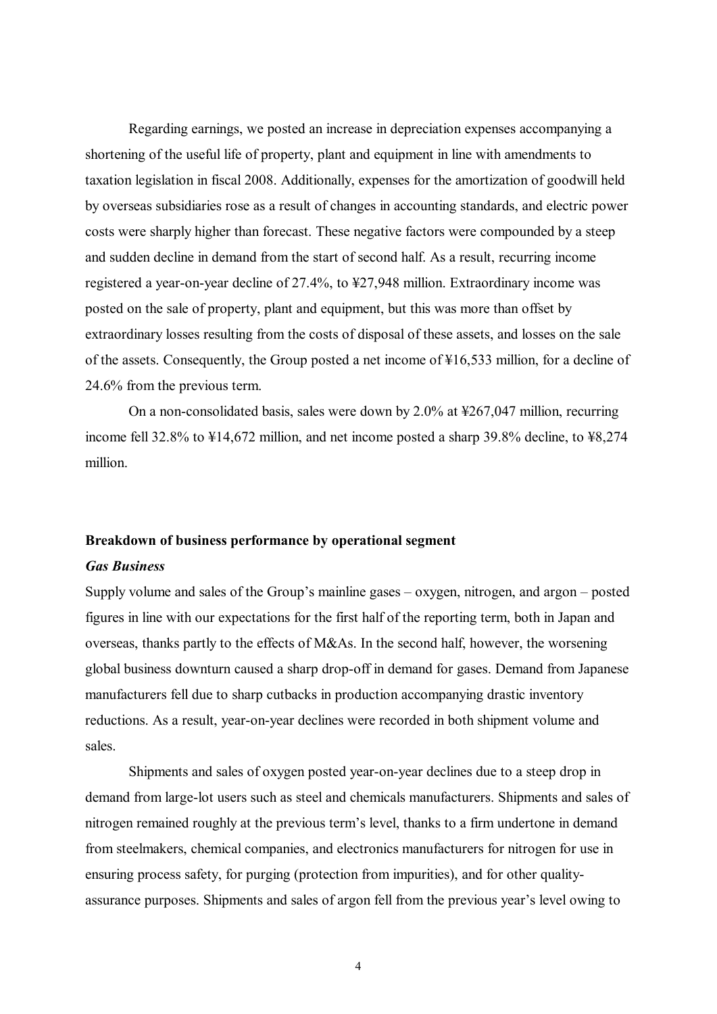Regarding earnings, we posted an increase in depreciation expenses accompanying a shortening of the useful life of property, plant and equipment in line with amendments to taxation legislation in fiscal 2008. Additionally, expenses for the amortization of goodwill held by overseas subsidiaries rose as a result of changes in accounting standards, and electric power costs were sharply higher than forecast. These negative factors were compounded by a steep and sudden decline in demand from the start of second half. As a result, recurring income registered a year-on-year decline of 27.4%, to ¥27,948 million. Extraordinary income was posted on the sale of property, plant and equipment, but this was more than offset by extraordinary losses resulting from the costs of disposal of these assets, and losses on the sale of the assets. Consequently, the Group posted a net income of ¥16,533 million, for a decline of 24.6% from the previous term.

On a non-consolidated basis, sales were down by 2.0% at ¥267,047 million, recurring income fell 32.8% to ¥14,672 million, and net income posted a sharp 39.8% decline, to ¥8,274 million.

#### **Breakdown of business performance by operational segment**

#### *Gas Business*

Supply volume and sales of the Group's mainline gases – oxygen, nitrogen, and argon – posted figures in line with our expectations for the first half of the reporting term, both in Japan and overseas, thanks partly to the effects of M&As. In the second half, however, the worsening global business downturn caused a sharp drop-off in demand for gases. Demand from Japanese manufacturers fell due to sharp cutbacks in production accompanying drastic inventory reductions. As a result, year-on-year declines were recorded in both shipment volume and sales.

Shipments and sales of oxygen posted year-on-year declines due to a steep drop in demand from large-lot users such as steel and chemicals manufacturers. Shipments and sales of nitrogen remained roughly at the previous term's level, thanks to a firm undertone in demand from steelmakers, chemical companies, and electronics manufacturers for nitrogen for use in ensuring process safety, for purging (protection from impurities), and for other qualityassurance purposes. Shipments and sales of argon fell from the previous year's level owing to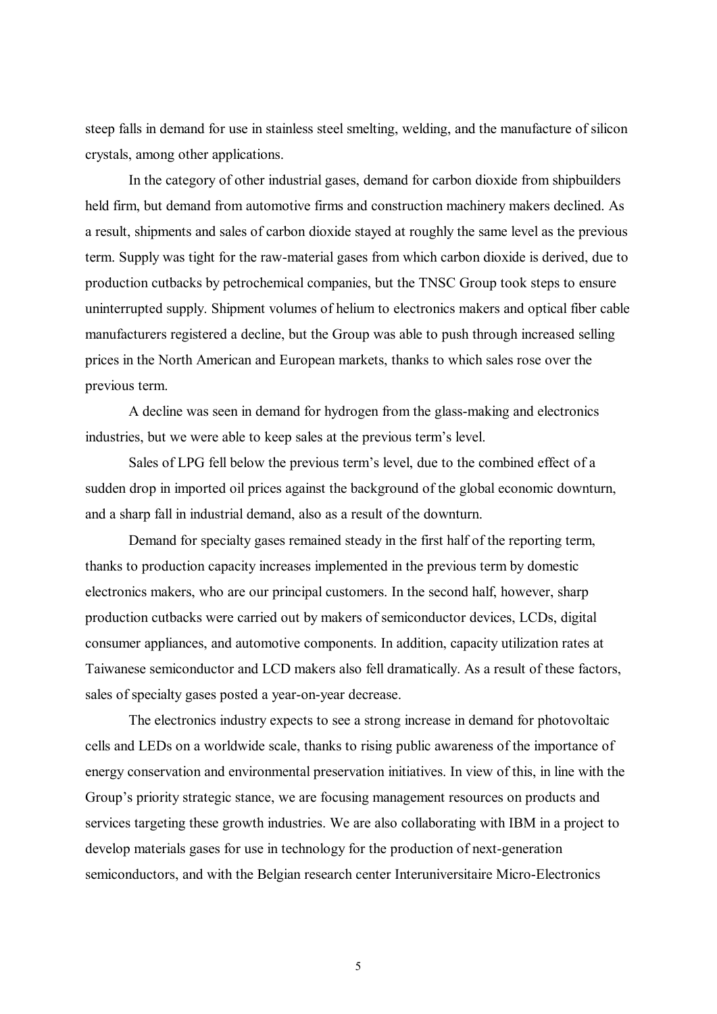steep falls in demand for use in stainless steel smelting, welding, and the manufacture of silicon crystals, among other applications.

In the category of other industrial gases, demand for carbon dioxide from shipbuilders held firm, but demand from automotive firms and construction machinery makers declined. As a result, shipments and sales of carbon dioxide stayed at roughly the same level as the previous term. Supply was tight for the raw-material gases from which carbon dioxide is derived, due to production cutbacks by petrochemical companies, but the TNSC Group took steps to ensure uninterrupted supply. Shipment volumes of helium to electronics makers and optical fiber cable manufacturers registered a decline, but the Group was able to push through increased selling prices in the North American and European markets, thanks to which sales rose over the previous term.

A decline was seen in demand for hydrogen from the glass-making and electronics industries, but we were able to keep sales at the previous term's level.

Sales of LPG fell below the previous term's level, due to the combined effect of a sudden drop in imported oil prices against the background of the global economic downturn, and a sharp fall in industrial demand, also as a result of the downturn.

Demand for specialty gases remained steady in the first half of the reporting term, thanks to production capacity increases implemented in the previous term by domestic electronics makers, who are our principal customers. In the second half, however, sharp production cutbacks were carried out by makers of semiconductor devices, LCDs, digital consumer appliances, and automotive components. In addition, capacity utilization rates at Taiwanese semiconductor and LCD makers also fell dramatically. As a result of these factors, sales of specialty gases posted a year-on-year decrease.

The electronics industry expects to see a strong increase in demand for photovoltaic cells and LEDs on a worldwide scale, thanks to rising public awareness of the importance of energy conservation and environmental preservation initiatives. In view of this, in line with the Group's priority strategic stance, we are focusing management resources on products and services targeting these growth industries. We are also collaborating with IBM in a project to develop materials gases for use in technology for the production of next-generation semiconductors, and with the Belgian research center Interuniversitaire Micro-Electronics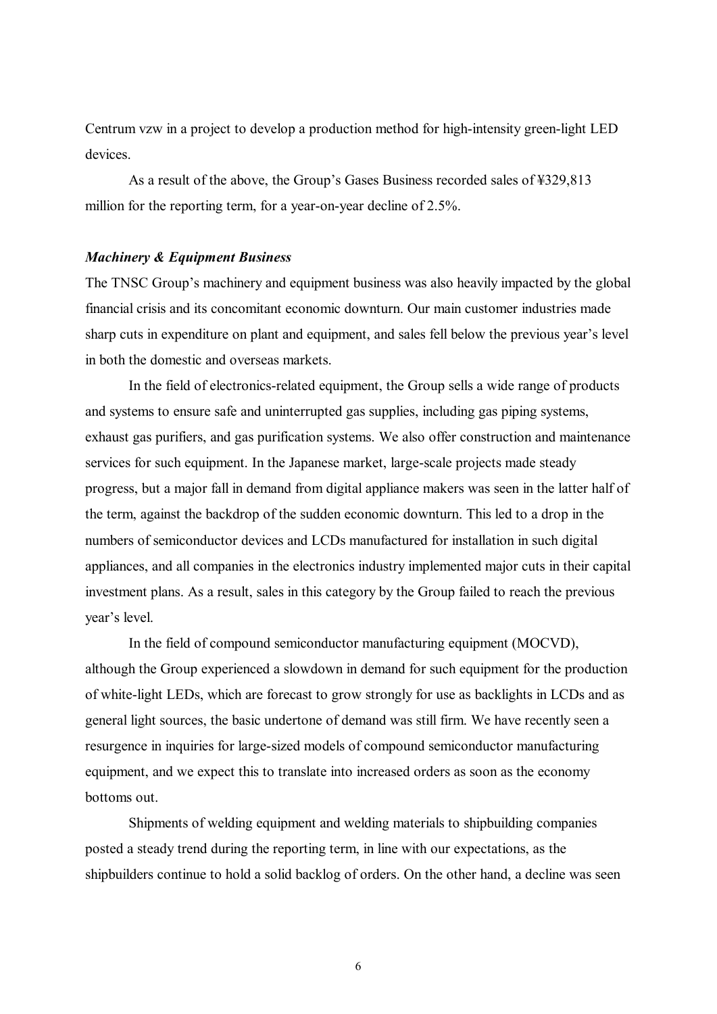Centrum vzw in a project to develop a production method for high-intensity green-light LED devices.

As a result of the above, the Group's Gases Business recorded sales of ¥329,813 million for the reporting term, for a year-on-year decline of 2.5%.

#### *Machinery & Equipment Business*

The TNSC Group's machinery and equipment business was also heavily impacted by the global financial crisis and its concomitant economic downturn. Our main customer industries made sharp cuts in expenditure on plant and equipment, and sales fell below the previous year's level in both the domestic and overseas markets.

In the field of electronics-related equipment, the Group sells a wide range of products and systems to ensure safe and uninterrupted gas supplies, including gas piping systems, exhaust gas purifiers, and gas purification systems. We also offer construction and maintenance services for such equipment. In the Japanese market, large-scale projects made steady progress, but a major fall in demand from digital appliance makers was seen in the latter half of the term, against the backdrop of the sudden economic downturn. This led to a drop in the numbers of semiconductor devices and LCDs manufactured for installation in such digital appliances, and all companies in the electronics industry implemented major cuts in their capital investment plans. As a result, sales in this category by the Group failed to reach the previous year's level.

In the field of compound semiconductor manufacturing equipment (MOCVD), although the Group experienced a slowdown in demand for such equipment for the production of white-light LEDs, which are forecast to grow strongly for use as backlights in LCDs and as general light sources, the basic undertone of demand was still firm. We have recently seen a resurgence in inquiries for large-sized models of compound semiconductor manufacturing equipment, and we expect this to translate into increased orders as soon as the economy bottoms out.

Shipments of welding equipment and welding materials to shipbuilding companies posted a steady trend during the reporting term, in line with our expectations, as the shipbuilders continue to hold a solid backlog of orders. On the other hand, a decline was seen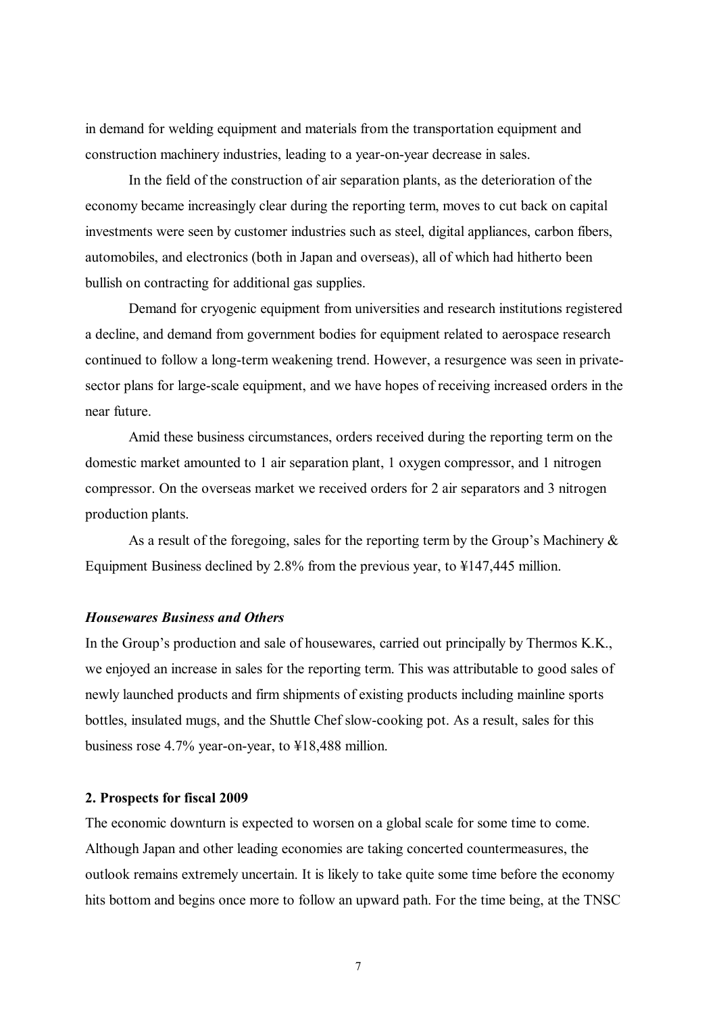in demand for welding equipment and materials from the transportation equipment and construction machinery industries, leading to a year-on-year decrease in sales.

In the field of the construction of air separation plants, as the deterioration of the economy became increasingly clear during the reporting term, moves to cut back on capital investments were seen by customer industries such as steel, digital appliances, carbon fibers, automobiles, and electronics (both in Japan and overseas), all of which had hitherto been bullish on contracting for additional gas supplies.

Demand for cryogenic equipment from universities and research institutions registered a decline, and demand from government bodies for equipment related to aerospace research continued to follow a long-term weakening trend. However, a resurgence was seen in privatesector plans for large-scale equipment, and we have hopes of receiving increased orders in the near future.

Amid these business circumstances, orders received during the reporting term on the domestic market amounted to 1 air separation plant, 1 oxygen compressor, and 1 nitrogen compressor. On the overseas market we received orders for 2 air separators and 3 nitrogen production plants.

As a result of the foregoing, sales for the reporting term by the Group's Machinery & Equipment Business declined by 2.8% from the previous year, to ¥147,445 million.

#### *Housewares Business and Others*

In the Group's production and sale of housewares, carried out principally by Thermos K.K., we enjoyed an increase in sales for the reporting term. This was attributable to good sales of newly launched products and firm shipments of existing products including mainline sports bottles, insulated mugs, and the Shuttle Chef slow-cooking pot. As a result, sales for this business rose 4.7% year-on-year, to ¥18,488 million.

#### **2. Prospects for fiscal 2009**

The economic downturn is expected to worsen on a global scale for some time to come. Although Japan and other leading economies are taking concerted countermeasures, the outlook remains extremely uncertain. It is likely to take quite some time before the economy hits bottom and begins once more to follow an upward path. For the time being, at the TNSC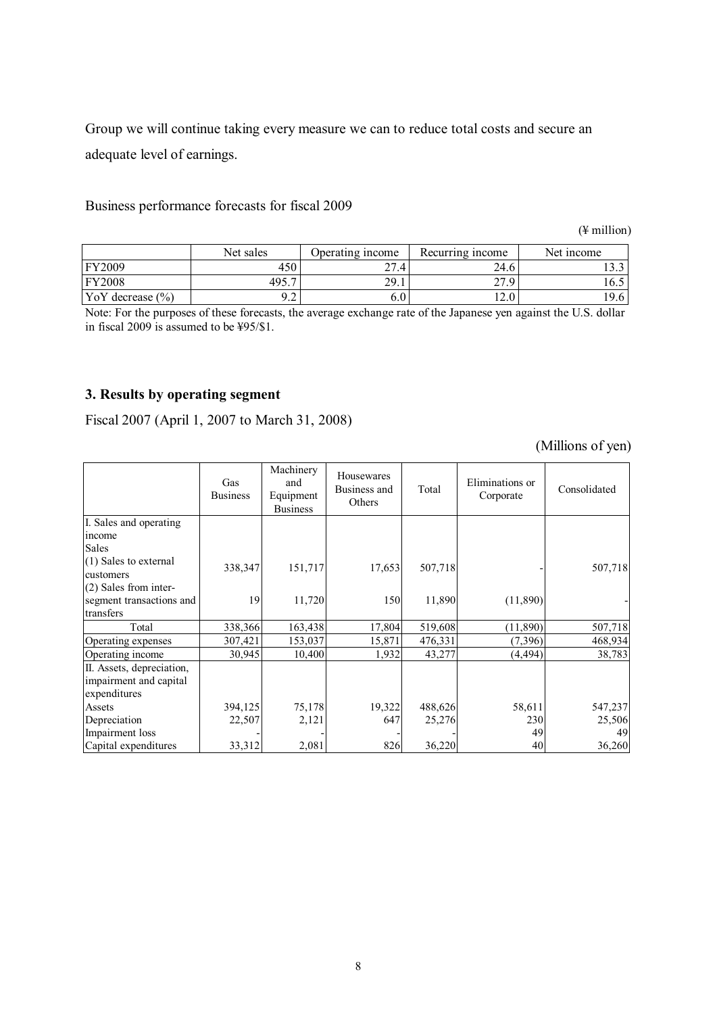Group we will continue taking every measure we can to reduce total costs and secure an adequate level of earnings.

# Business performance forecasts for fiscal 2009

(¥ million)

|                      | Net sales | Operating income   | Recurring income | Net income   |
|----------------------|-----------|--------------------|------------------|--------------|
| FY2009               | 450       | つつ<br>$\angle 7.4$ | 24.6             | . <i>. .</i> |
| <b>FY2008</b>        | 495.7     | 29.1               | 270              | 16.5         |
| YoY decrease $(\% )$ | u         | 6.U                | 2.0              | ۱Q<br>.9.0   |

Note: For the purposes of these forecasts, the average exchange rate of the Japanese yen against the U.S. dollar in fiscal 2009 is assumed to be ¥95/\$1.

# **3. Results by operating segment**

Fiscal 2007 (April 1, 2007 to March 31, 2008)

(Millions of yen)

|                                    | Gas<br><b>Business</b> | Machinery<br>and<br>Equipment<br><b>Business</b> | Housewares<br>Business and<br>Others | Total   | Eliminations or<br>Corporate | Consolidated |
|------------------------------------|------------------------|--------------------------------------------------|--------------------------------------|---------|------------------------------|--------------|
| I. Sales and operating             |                        |                                                  |                                      |         |                              |              |
| income                             |                        |                                                  |                                      |         |                              |              |
| Sales                              |                        |                                                  |                                      |         |                              |              |
| (1) Sales to external<br>customers | 338,347                | 151,717                                          | 17,653                               | 507,718 |                              | 507,718      |
| $(2)$ Sales from inter-            |                        |                                                  |                                      |         |                              |              |
| segment transactions and           | 19                     | 11,720                                           | 150                                  | 11,890  | (11,890)                     |              |
| transfers                          |                        |                                                  |                                      |         |                              |              |
| Total                              | 338,366                | 163,438                                          | 17,804                               | 519,608 | (11,890)                     | 507,718      |
| Operating expenses                 | 307,421                | 153,037                                          | 15,871                               | 476,331 | (7,396)                      | 468,934      |
| Operating income                   | 30,945                 | 10,400                                           | 1,932                                | 43,277  | (4, 494)                     | 38,783       |
| II. Assets, depreciation,          |                        |                                                  |                                      |         |                              |              |
| impairment and capital             |                        |                                                  |                                      |         |                              |              |
| expenditures                       |                        |                                                  |                                      |         |                              |              |
| Assets                             | 394,125                | 75,178                                           | 19,322                               | 488,626 | 58,611                       | 547,237      |
| Depreciation                       | 22,507                 | 2,121                                            | 647                                  | 25,276  | 230                          | 25,506       |
| Impairment loss                    |                        |                                                  |                                      |         | 49                           | 49           |
| Capital expenditures               | 33,312                 | 2,081                                            | 826                                  | 36,220  | 40                           | 36,260       |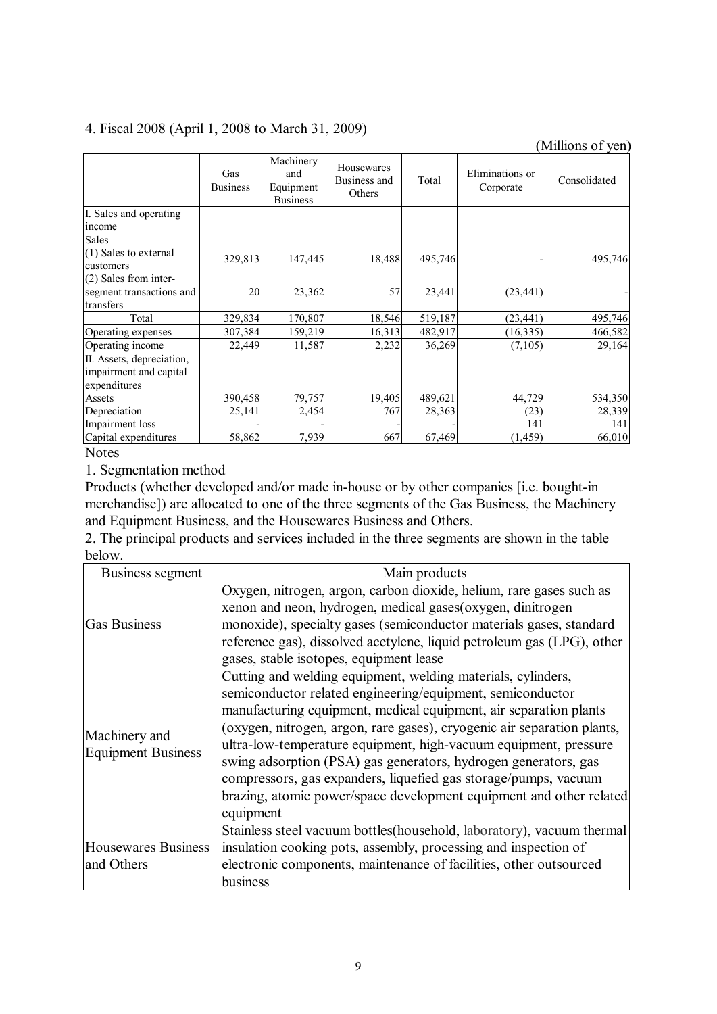# 4. Fiscal 2008 (April 1, 2008 to March 31, 2009)

|                           |                        |                                                  |                                      |         |                              | (Millions of yen) |
|---------------------------|------------------------|--------------------------------------------------|--------------------------------------|---------|------------------------------|-------------------|
|                           | Gas<br><b>Business</b> | Machinery<br>and<br>Equipment<br><b>Business</b> | Housewares<br>Business and<br>Others | Total   | Eliminations or<br>Corporate | Consolidated      |
| I. Sales and operating    |                        |                                                  |                                      |         |                              |                   |
| income                    |                        |                                                  |                                      |         |                              |                   |
| <b>Sales</b>              |                        |                                                  |                                      |         |                              |                   |
| (1) Sales to external     | 329,813                | 147,445                                          | 18,488                               | 495,746 |                              | 495,746           |
| customers                 |                        |                                                  |                                      |         |                              |                   |
| (2) Sales from inter-     |                        |                                                  |                                      |         |                              |                   |
| segment transactions and  | 20                     | 23,362                                           | 57                                   | 23,441  | (23, 441)                    |                   |
| transfers                 |                        |                                                  |                                      |         |                              |                   |
| Total                     | 329,834                | 170,807                                          | 18,546                               | 519,187 | (23, 441)                    | 495,746           |
| Operating expenses        | 307,384                | 159,219                                          | 16,313                               | 482,917 | (16, 335)                    | 466,582           |
| Operating income          | 22,449                 | 11,587                                           | 2,232                                | 36,269  | (7,105)                      | 29,164            |
| II. Assets, depreciation, |                        |                                                  |                                      |         |                              |                   |
| impairment and capital    |                        |                                                  |                                      |         |                              |                   |
| expenditures              |                        |                                                  |                                      |         |                              |                   |
| Assets                    | 390,458                | 79,757                                           | 19,405                               | 489,621 | 44,729                       | 534,350           |
| Depreciation              | 25,141                 | 2,454                                            | 767                                  | 28,363  | (23)                         | 28,339            |
| Impairment loss           |                        |                                                  |                                      |         | 141                          | 141               |
| Capital expenditures      | 58,862                 | 7,939                                            | 667                                  | 67,469  | (1, 459)                     | 66,010            |

### Notes

# 1. Segmentation method

Products (whether developed and/or made in-house or by other companies [i.e. bought-in merchandise]) are allocated to one of the three segments of the Gas Business, the Machinery and Equipment Business, and the Housewares Business and Others.

2. The principal products and services included in the three segments are shown in the table below.

| Business segment                           | Main products                                                                                                                                                                                                                                                                                                                                                                                                                                                                                                                                                            |
|--------------------------------------------|--------------------------------------------------------------------------------------------------------------------------------------------------------------------------------------------------------------------------------------------------------------------------------------------------------------------------------------------------------------------------------------------------------------------------------------------------------------------------------------------------------------------------------------------------------------------------|
| <b>Gas Business</b>                        | Oxygen, nitrogen, argon, carbon dioxide, helium, rare gases such as<br>xenon and neon, hydrogen, medical gases(oxygen, dinitrogen<br>monoxide), specialty gases (semiconductor materials gases, standard                                                                                                                                                                                                                                                                                                                                                                 |
|                                            | reference gas), dissolved acetylene, liquid petroleum gas (LPG), other<br>gases, stable isotopes, equipment lease                                                                                                                                                                                                                                                                                                                                                                                                                                                        |
| Machinery and<br><b>Equipment Business</b> | Cutting and welding equipment, welding materials, cylinders,<br>semiconductor related engineering/equipment, semiconductor<br>manufacturing equipment, medical equipment, air separation plants<br>(oxygen, nitrogen, argon, rare gases), cryogenic air separation plants,<br>ultra-low-temperature equipment, high-vacuum equipment, pressure<br>swing adsorption (PSA) gas generators, hydrogen generators, gas<br>compressors, gas expanders, liquefied gas storage/pumps, vacuum<br>brazing, atomic power/space development equipment and other related<br>equipment |
| Housewares Business<br>and Others          | Stainless steel vacuum bottles(household, laboratory), vacuum thermal<br>insulation cooking pots, assembly, processing and inspection of<br>electronic components, maintenance of facilities, other outsourced<br>business                                                                                                                                                                                                                                                                                                                                               |